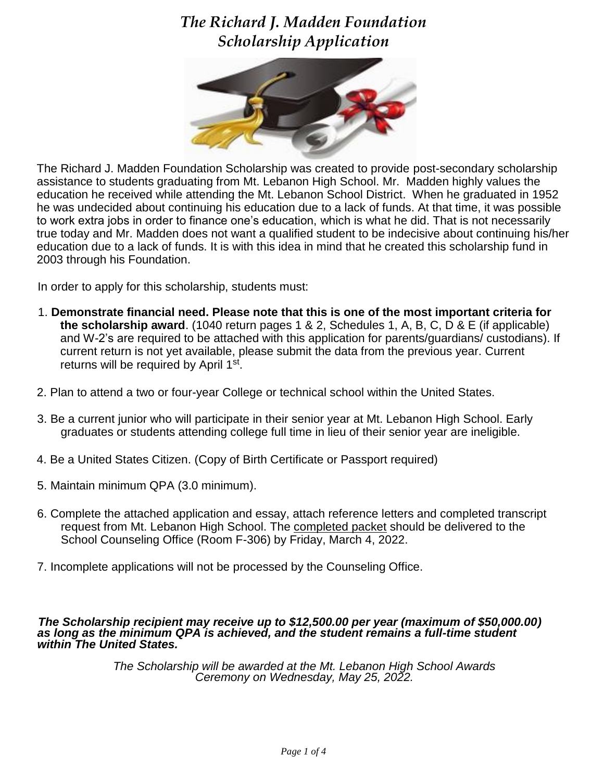# *The Richard J. Madden Foundation Scholarship Application*



The Richard J. Madden Foundation Scholarship was created to provide post-secondary scholarship assistance to students graduating from Mt. Lebanon High School. Mr. Madden highly values the education he received while attending the Mt. Lebanon School District. When he graduated in 1952 he was undecided about continuing his education due to a lack of funds. At that time, it was possible to work extra jobs in order to finance one's education, which is what he did. That is not necessarily true today and Mr. Madden does not want a qualified student to be indecisive about continuing his/her education due to a lack of funds. It is with this idea in mind that he created this scholarship fund in 2003 through his Foundation.

In order to apply for this scholarship, students must:

- 1. **Demonstrate financial need. Please note that this is one of the most important criteria for the scholarship award**. (1040 return pages 1 & 2, Schedules 1, A, B, C, D & E (if applicable) and W-2's are required to be attached with this application for parents/guardians/ custodians). If current return is not yet available, please submit the data from the previous year. Current returns will be required by April 1<sup>st</sup>.
- 2. Plan to attend a two or four-year College or technical school within the United States.
- 3. Be a current junior who will participate in their senior year at Mt. Lebanon High School. Early graduates or students attending college full time in lieu of their senior year are ineligible.
- 4. Be a United States Citizen. (Copy of Birth Certificate or Passport required)
- 5. Maintain minimum QPA (3.0 minimum).
- 6. Complete the attached application and essay, attach reference letters and completed transcript request from Mt. Lebanon High School. The completed packet should be delivered to the School Counseling Office (Room F-306) by Friday, March 4, 2022.
- 7. Incomplete applications will not be processed by the Counseling Office.

#### *The Scholarship recipient may receive up to \$12,500.00 per year (maximum of \$50,000.00) as long as the minimum QPA is achieved, and the student remains a full-time student within The United States.*

*The Scholarship will be awarded at the Mt. Lebanon High School Awards Ceremony on Wednesday, May 25, 2022.*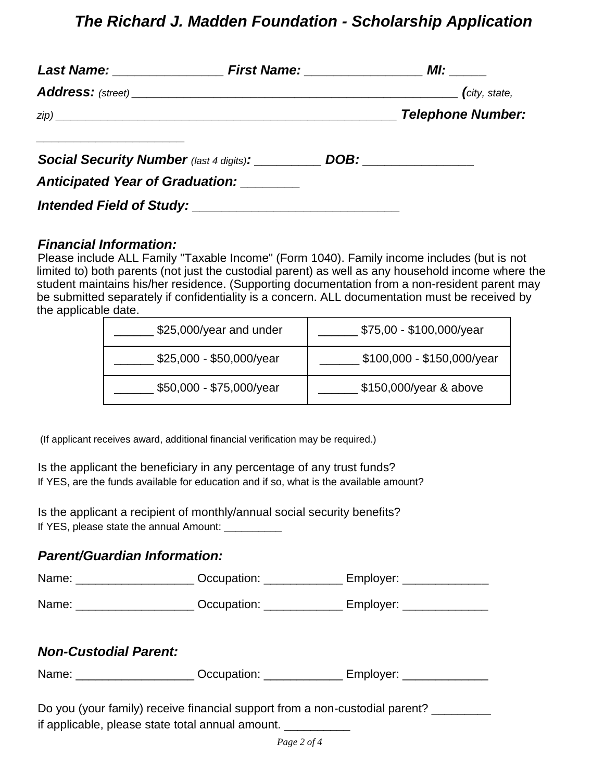## *The Richard J. Madden Foundation - Scholarship Application*

|                                                | $\int$ city, state,      |
|------------------------------------------------|--------------------------|
|                                                | <b>Telephone Number:</b> |
| <b>Social Security Number</b> (last 4 digits): | DOB: ________________    |
| Anticipated Year of Graduation: ________       |                          |
|                                                |                          |

#### *Financial Information:*

Please include ALL Family "Taxable Income" (Form 1040). Family income includes (but is not limited to) both parents (not just the custodial parent) as well as any household income where the student maintains his/her residence. (Supporting documentation from a non-resident parent may be submitted separately if confidentiality is a concern. ALL documentation must be received by the applicable date.

| \$25,000/year and under  | \$75,00 - \$100,000/year   |  |
|--------------------------|----------------------------|--|
| \$25,000 - \$50,000/year | \$100,000 - \$150,000/year |  |
| \$50,000 - \$75,000/year | \$150,000/year & above     |  |

(If applicant receives award, additional financial verification may be required.)

Is the applicant the beneficiary in any percentage of any trust funds? If YES, are the funds available for education and if so, what is the available amount?

Is the applicant a recipient of monthly/annual social security benefits? If YES, please state the annual Amount:

#### *Parent/Guardian Information:*

| Name: | Occupation: | Employer: |
|-------|-------------|-----------|
|       |             |           |

Name: \_\_\_\_\_\_\_\_\_\_\_\_\_\_\_\_\_\_\_\_\_\_ Occupation: \_\_\_\_\_\_\_\_\_\_\_\_\_ Employer: \_\_\_\_\_\_\_\_\_\_\_\_\_\_\_

#### *Non-Custodial Parent:*

Name: \_\_\_\_\_\_\_\_\_\_\_\_\_\_\_\_\_\_\_\_\_\_ Occupation: \_\_\_\_\_\_\_\_\_\_\_\_\_\_ Employer: \_\_\_\_\_\_\_\_\_\_\_\_\_\_

| Do you (your family) receive financial support from a non-custodial parent? |  |
|-----------------------------------------------------------------------------|--|
| if applicable, please state total annual amount.                            |  |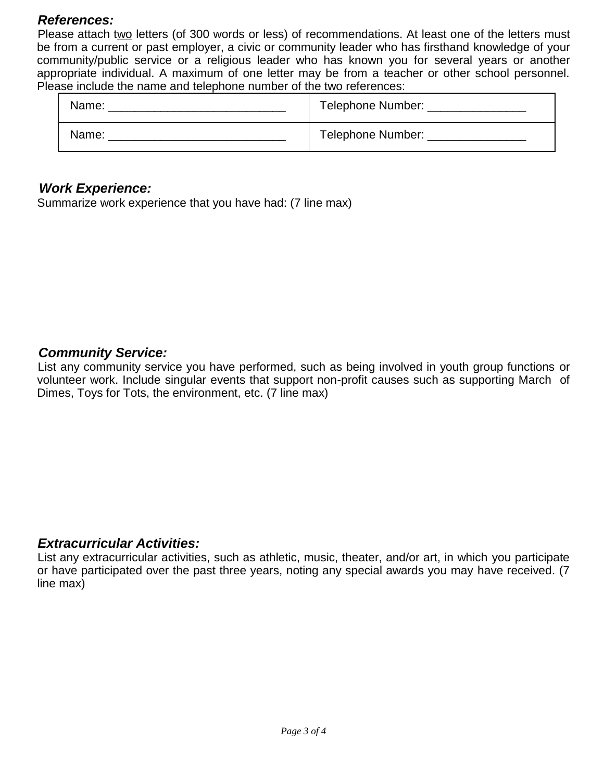#### *References:*

Please attach two letters (of 300 words or less) of recommendations. At least one of the letters must be from a current or past employer, a civic or community leader who has firsthand knowledge of your community/public service or a religious leader who has known you for several years or another appropriate individual. A maximum of one letter may be from a teacher or other school personnel. Please include the name and telephone number of the two references:

| Name: | Telephone Number:   |
|-------|---------------------|
| Name: | Telephone Number: _ |

#### *Work Experience:*

Summarize work experience that you have had: (7 line max)

#### *Community Service:*

List any community service you have performed, such as being involved in youth group functions or volunteer work. Include singular events that support non-profit causes such as supporting March of Dimes, Toys for Tots, the environment, etc. (7 line max)

#### *Extracurricular Activities:*

List any extracurricular activities, such as athletic, music, theater, and/or art, in which you participate or have participated over the past three years, noting any special awards you may have received. (7 line max)